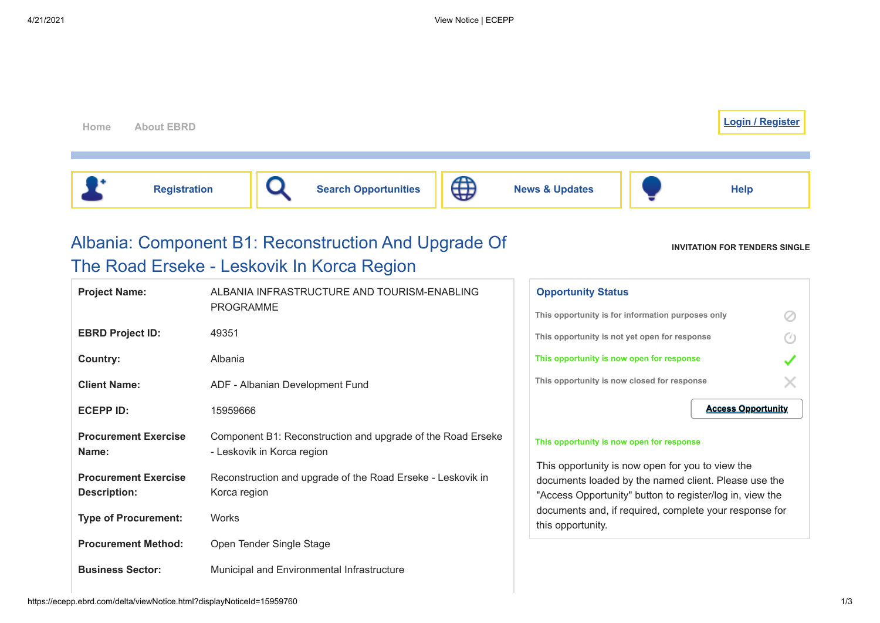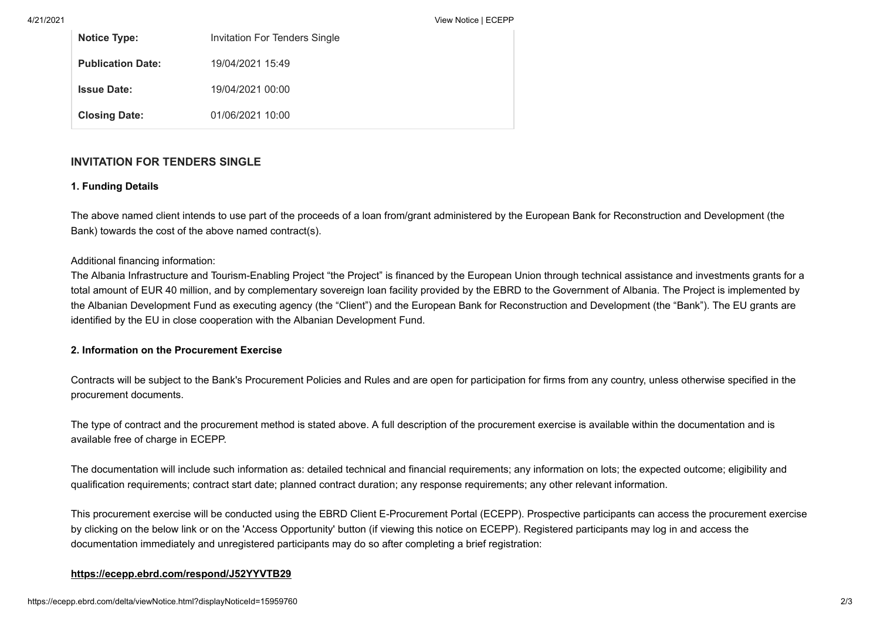4/21/2021 View Notice | ECEPP

| <b>Notice Type:</b>      | Invitation For Tenders Single |
|--------------------------|-------------------------------|
| <b>Publication Date:</b> | 19/04/2021 15:49              |
| <b>Issue Date:</b>       | 19/04/2021 00:00              |
| <b>Closing Date:</b>     | 01/06/2021 10:00              |

# **INVITATION FOR TENDERS SINGLE**

### **1. Funding Details**

The above named client intends to use part of the proceeds of a loan from/grant administered by the European Bank for Reconstruction and Development (the Bank) towards the cost of the above named contract(s).

### Additional financing information:

The Albania Infrastructure and Tourism-Enabling Project "the Project" is financed by the European Union through technical assistance and investments grants for a total amount of EUR 40 million, and by complementary sovereign loan facility provided by the EBRD to the Government of Albania. The Project is implemented by the Albanian Development Fund as executing agency (the "Client") and the European Bank for Reconstruction and Development (the "Bank"). The EU grants are identified by the EU in close cooperation with the Albanian Development Fund.

# **2. Information on the Procurement Exercise**

Contracts will be subject to the Bank's Procurement Policies and Rules and are open for participation for firms from any country, unless otherwise specified in the procurement documents.

The type of contract and the procurement method is stated above. A full description of the procurement exercise is available within the documentation and is available free of charge in ECEPP.

The documentation will include such information as: detailed technical and financial requirements; any information on lots; the expected outcome; eligibility and qualification requirements; contract start date; planned contract duration; any response requirements; any other relevant information.

This procurement exercise will be conducted using the EBRD Client E-Procurement Portal (ECEPP). Prospective participants can access the procurement exercise by clicking on the below link or on the 'Access Opportunity' button (if viewing this notice on ECEPP). Registered participants may log in and access the documentation immediately and unregistered participants may do so after completing a brief registration:

# **<https://ecepp.ebrd.com/respond/J52YYVTB29>**